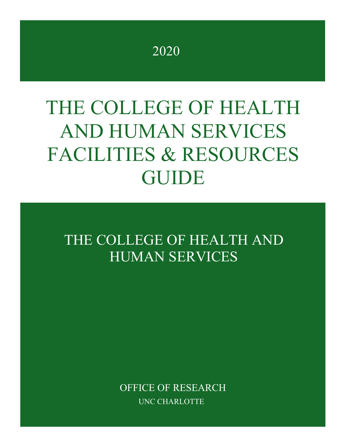2020

# THE COLLEGE OF HEALTH AND HUMAN SERVICES FACILITIES & RESOURCES GUIDE

THE COLLEGE OF HEALTH AND HUMAN SERVICES

> OFFICE OF RESEARCH UNC CHARLOTTE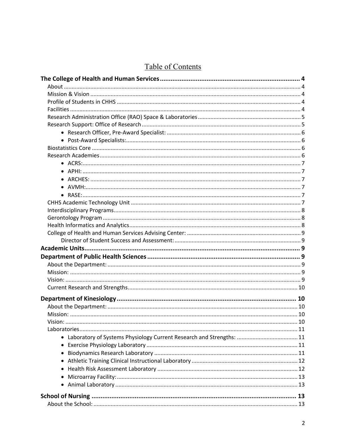## Table of Contents

| Laboratory of Systems Physiology Current Research and Strengths:  11 |  |
|----------------------------------------------------------------------|--|
|                                                                      |  |
|                                                                      |  |
|                                                                      |  |
|                                                                      |  |
|                                                                      |  |
| ٠                                                                    |  |
|                                                                      |  |
|                                                                      |  |
|                                                                      |  |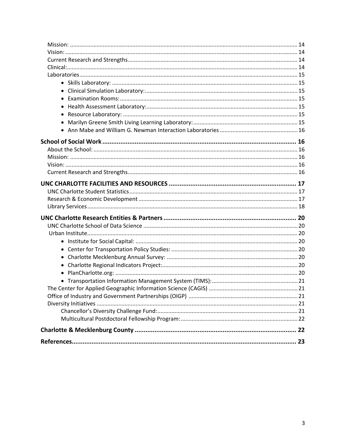| $\bullet$ |  |
|-----------|--|
|           |  |
|           |  |
| $\bullet$ |  |
|           |  |
|           |  |
|           |  |
|           |  |
|           |  |
|           |  |
|           |  |
|           |  |
|           |  |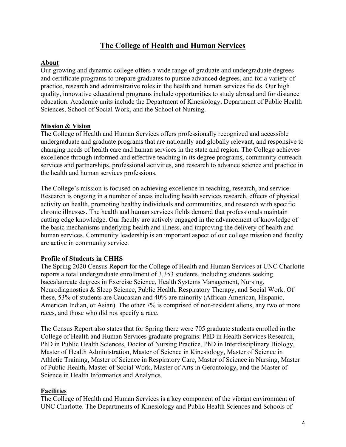## **The College of Health and Human Services**

#### <span id="page-3-1"></span><span id="page-3-0"></span>**About**

Our growing and dynamic college offers a wide range of graduate and undergraduate degrees and certificate programs to prepare graduates to pursue advanced degrees, and for a variety of practice, research and administrative roles in the health and human services fields. Our high quality, innovative educational programs include opportunities to study abroad and for distance education. Academic units include the [Department of Kinesiology,](http://kinesiology.uncc.edu/) [Department of Public Health](http://publichealth.uncc.edu/)  [Sciences,](http://publichealth.uncc.edu/) [School of Social Work,](http://socialwork.uncc.edu/) and the [School of Nursing.](http://nursing.uncc.edu/)

#### <span id="page-3-2"></span>**Mission & Vision**

The College of Health and Human Services offers professionally recognized and accessible undergraduate and graduate programs that are nationally and globally relevant, and responsive to changing needs of health care and human services in the state and region. The College achieves excellence through informed and effective teaching in its degree programs, community outreach services and partnerships, professional activities, and research to advance science and practice in the health and human services professions.

The College's mission is focused on achieving excellence in teaching, research, and service. Research is ongoing in a number of areas including health services research, effects of physical activity on health, promoting healthy individuals and communities, and research with specific chronic illnesses. The health and human services fields demand that professionals maintain cutting edge knowledge. Our faculty are actively engaged in the advancement of knowledge of the basic mechanisms underlying health and illness, and improving the delivery of health and human services. Community leadership is an important aspect of our college mission and faculty are active in community service.

## **Profile of Students in CHHS**

The Spring 2020 Census Report for the College of Health and Human Services at UNC Charlotte reports a total undergraduate enrollment of 3,353 students, including students seeking baccalaureate degrees in Exercise Science, Health Systems Management, Nursing, Neurodiagnostics & Sleep Science, Public Health, Respiratory Therapy, and Social Work. Of these, 53% of students are Caucasian and 40% are minority (African American, Hispanic, American Indian, or Asian). The other 7% is comprised of non-resident aliens, any two or more races, and those who did not specify a race.

The Census Report also states that for Spring there were 705 graduate students enrolled in the College of Health and Human Services graduate programs: PhD in Health Services Research, PhD in Public Health Sciences, Doctor of Nursing Practice, PhD in Interdisciplinary Biology, Master of Health Administration, Master of Science in Kinesiology, Master of Science in Athletic Training, Master of Science in Respiratory Care, Master of Science in Nursing, Master of Public Health, Master of Social Work, Master of Arts in Gerontology, and the Master of Science in Health Informatics and Analytics.

## **Facilities**

The College of Health and Human Services is a key component of the vibrant environment of UNC Charlotte. The Departments of Kinesiology and Public Health Sciences and Schools of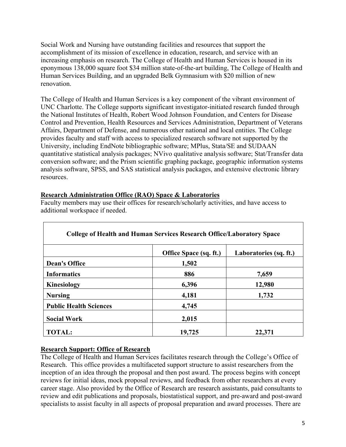Social Work and Nursing have outstanding facilities and resources that support the accomplishment of its mission of excellence in education, research, and service with an increasing emphasis on research. The College of Health and Human Services is housed in its eponymous 138,000 square foot \$34 million state-of-the-art building, The College of Health and Human Services Building, and an upgraded Belk Gymnasium with \$20 million of new renovation.

The College of Health and Human Services is a key component of the vibrant environment of UNC Charlotte. The College supports significant investigator-initiated research funded through the National Institutes of Health, Robert Wood Johnson Foundation, and Centers for Disease Control and Prevention, Health Resources and Services Administration, Department of Veterans Affairs, Department of Defense, and numerous other national and local entities. The College provides faculty and staff with access to specialized research software not supported by the University, including EndNote bibliographic software; MPlus, Stata/SE and SUDAAN quantitative statistical analysis packages; NVivo qualitative analysis software; Stat/Transfer data conversion software; and the Prism scientific graphing package, geographic information systems analysis software, SPSS, and SAS statistical analysis packages, and extensive electronic library resources.

#### <span id="page-4-0"></span>**Research Administration Office (RAO) Space & Laboratories**

Faculty members may use their offices for research/scholarly activities, and have access to additional workspace if needed.

| <b>College of Health and Human Services Research Office/Laboratory Space</b> |                        |                        |
|------------------------------------------------------------------------------|------------------------|------------------------|
|                                                                              | Office Space (sq. ft.) | Laboratories (sq. ft.) |
| <b>Dean's Office</b>                                                         | 1,502                  |                        |
| <b>Informatics</b>                                                           | 886                    | 7,659                  |
| <b>Kinesiology</b>                                                           | 6,396                  | 12,980                 |
| <b>Nursing</b>                                                               | 4,181                  | 1,732                  |
| <b>Public Health Sciences</b>                                                | 4,745                  |                        |
| <b>Social Work</b>                                                           | 2,015                  |                        |
| <b>TOTAL:</b>                                                                | 19,725                 | 22,371                 |

## <span id="page-4-1"></span>**Research Support: Office of Research**

The College of Health and Human Services facilitates research through the College's Office of Research. This office provides a multifaceted support structure to assist researchers from the inception of an idea through the proposal and then post award. The process begins with concept reviews for initial ideas, mock proposal reviews, and feedback from other researchers at every career stage. Also provided by the Office of Research are research assistants, paid consultants to review and edit publications and proposals, biostatistical support, and pre-award and post-award specialists to assist faculty in all aspects of proposal preparation and award processes. There are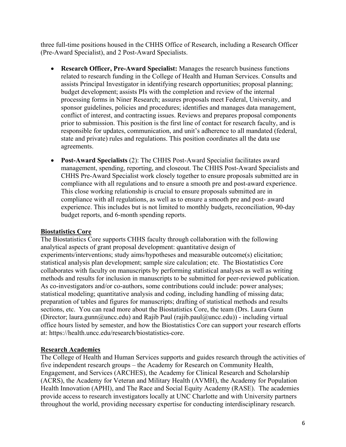three full-time positions housed in the CHHS Office of Research, including a Research Officer (Pre-Award Specialist), and 2 Post-Award Specialists.

- <span id="page-5-0"></span>• **Research Officer, Pre-Award Specialist:** Manages the research business functions related to research funding in the College of Health and Human Services. Consults and assists Principal Investigator in identifying research opportunities; proposal planning; budget development; assists PIs with the completion and review of the internal processing forms in Niner Research; assures proposals meet Federal, University, and sponsor guidelines, policies and procedures; identifies and manages data management, conflict of interest, and contracting issues. Reviews and prepares proposal components prior to submission. This position is the first line of contact for research faculty, and is responsible for updates, communication, and unit's adherence to all mandated (federal, state and private) rules and regulations. This position coordinates all the data use agreements.
- <span id="page-5-1"></span>• **Post-Award Specialists** (2): The CHHS Post-Award Specialist facilitates award management, spending, reporting, and closeout. The CHHS Post-Award Specialists and CHHS Pre-Award Specialist work closely together to ensure proposals submitted are in compliance with all regulations and to ensure a smooth pre and post-award experience. This close working relationship is crucial to ensure proposals submitted are in compliance with all regulations, as well as to ensure a smooth pre and post- award experience. This includes but is not limited to monthly budgets, reconciliation, 90-day budget reports, and 6-month spending reports.

## <span id="page-5-2"></span>**Biostatistics Core**

The Biostatistics Core supports CHHS faculty through collaboration with the following analytical aspects of grant proposal development: quantitative design of experiments/interventions; study aims/hypotheses and measurable outcome(s) elicitation; statistical analysis plan development; sample size calculation; etc. The Biostatistics Core collaborates with faculty on manuscripts by performing statistical analyses as well as writing methods and results for inclusion in manuscripts to be submitted for peer-reviewed publication. As co-investigators and/or co-authors, some contributions could include: power analyses; statistical modeling; quantitative analysis and coding, including handling of missing data; preparation of tables and figures for manuscripts; drafting of statistical methods and results sections, etc. You can read more about the Biostatistics Core, the team (Drs. Laura Gunn (Director; laura.gunn@uncc.edu) and Rajib Paul (rajib.paul@uncc.edu)) - including virtual office hours listed by semester, and how the Biostatistics Core can support your research efforts at: https://health.uncc.edu/research/biostatistics-core.

## <span id="page-5-3"></span>**Research Academies**

The College of Health and Human Services supports and guides research through the activities of five independent research groups – the Academy for Research on Community Health, Engagement, and Services (ARCHES), the Academy for Clinical Research and Scholarship (ACRS), the Academy for Veteran and Military Health (AVMH), the Academy for Population Health Innovation (APHI), and The Race and Social Equity Academy (RASE). The academies provide access to research investigators locally at UNC Charlotte and with University partners throughout the world, providing necessary expertise for conducting interdisciplinary research.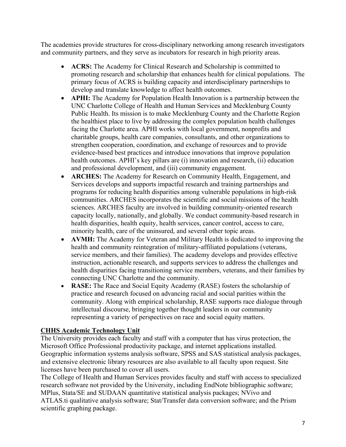<span id="page-6-0"></span>The academies provide structures for cross-disciplinary networking among research investigators and community partners, and they serve as incubators for research in high priority areas.

- **ACRS:** The Academy for Clinical Research and Scholarship is committed to promoting research and scholarship that enhances health for clinical populations. The primary focus of ACRS is building capacity and interdisciplinary partnerships to develop and translate knowledge to affect health outcomes.
- <span id="page-6-1"></span>• **APHI:** The Academy for Population Health Innovation is a partnership between the UNC Charlotte College of Health and Human Services and Mecklenburg County Public Health. Its mission is to make Mecklenburg County and the Charlotte Region the healthiest place to live by addressing the complex population health challenges facing the Charlotte area. APHI works with local government, nonprofits and charitable groups, health care companies, consultants, and other organizations to strengthen cooperation, coordination, and exchange of resources and to provide evidence-based best practices and introduce innovations that improve population health outcomes. APHI's key pillars are (i) innovation and research, (ii) education and professional development, and (iii) community engagement.
- <span id="page-6-2"></span>• **ARCHES:** The Academy for Research on Community Health, Engagement, and Services develops and supports impactful research and training partnerships and programs for reducing health disparities among vulnerable populations in high-risk communities. ARCHES incorporates the scientific and social missions of the health sciences. ARCHES faculty are involved in building community-oriented research capacity locally, nationally, and globally. We conduct community-based research in health disparities, health equity, health services, cancer control, access to care, minority health, care of the uninsured, and several other topic areas.
- <span id="page-6-3"></span>• **AVMH:** The Academy for Veteran and Military Health is dedicated to improving the health and community reintegration of military-affiliated populations (veterans, service members, and their families). The academy develops and provides effective instruction, actionable research, and supports services to address the challenges and health disparities facing transitioning service members, veterans, and their families by connecting UNC Charlotte and the community.
- <span id="page-6-4"></span>• **RASE:** The Race and Social Equity Academy (RASE) fosters the scholarship of practice and research focused on advancing racial and social parities within the community. Along with empirical scholarship, RASE supports race dialogue through intellectual discourse, bringing together thought leaders in our community representing a variety of perspectives on race and social equity matters.

## <span id="page-6-5"></span>**CHHS Academic Technology Unit**

The University provides each faculty and staff with a computer that has virus protection, the Microsoft Office Professional productivity package, and internet applications installed. Geographic information systems analysis software, SPSS and SAS statistical analysis packages, and extensive electronic library resources are also available to all faculty upon request. Site licenses have been purchased to cover all users.

The College of Health and Human Services provides faculty and staff with access to specialized research software not provided by the University, including EndNote bibliographic software; MPlus, Stata/SE and SUDAAN quantitative statistical analysis packages; NVivo and ATLAS.ti qualitative analysis software; Stat/Transfer data conversion software; and the Prism scientific graphing package.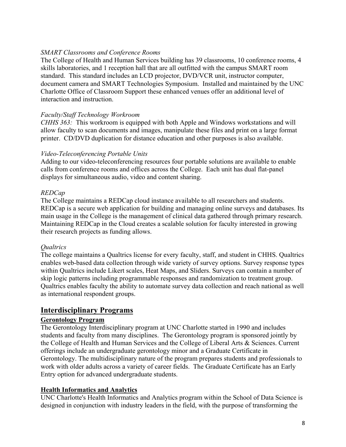## *SMART Classrooms and Conference Rooms*

The College of Health and Human Services building has 39 classrooms, 10 conference rooms, 4 skills laboratories, and 1 reception hall that are all outfitted with the campus SMART room standard. This standard includes an LCD projector, DVD/VCR unit, instructor computer, document camera and SMART Technologies Symposium. Installed and maintained by the UNC Charlotte Office of Classroom Support these enhanced venues offer an additional level of interaction and instruction.

## *Faculty/Staff Technology Workroom*

*CHHS 363:* This workroom is equipped with both Apple and Windows workstations and will allow faculty to scan documents and images, manipulate these files and print on a large format printer. CD/DVD duplication for distance education and other purposes is also available.

## *Video-Teleconferencing Portable Units*

Adding to our video-teleconferencing resources four portable solutions are available to enable calls from conference rooms and offices across the College. Each unit has dual flat-panel displays for simultaneous audio, video and content sharing.

## *REDCap*

The College maintains a REDCap cloud instance available to all researchers and students. REDCap is a secure web application for building and managing online surveys and databases. Its main usage in the College is the management of clinical data gathered through primary research. Maintaining REDCap in the Cloud creates a scalable solution for faculty interested in growing their research projects as funding allows.

## *Qualtrics*

The college maintains a Qualtrics license for every faculty, staff, and student in CHHS. Qualtrics enables web-based data collection through wide variety of survey options. Survey response types within Qualtrics include Likert scales, Heat Maps, and Sliders. Surveys can contain a number of skip logic patterns including programmable responses and randomization to treatment group. Qualtrics enables faculty the ability to automate survey data collection and reach national as well as international respondent groups.

## **Interdisciplinary Programs**

## <span id="page-7-0"></span>**Gerontology Program**

The Gerontology Interdisciplinary program at UNC Charlotte started in 1990 and includes students and faculty from many disciplines. The Gerontology program is sponsored jointly by the College of Health and Human Services and the College of Liberal Arts & Sciences. Current offerings include an undergraduate gerontology minor and a Graduate Certificate in Gerontology. The multidisciplinary nature of the program prepares students and professionals to work with older adults across a variety of career fields. The Graduate Certificate has an Early Entry option for advanced undergraduate students.

## **Health Informatics and Analytics**

UNC Charlotte's Health Informatics and Analytics program within the School of Data Science is designed in conjunction with industry leaders in the field, with the purpose of transforming the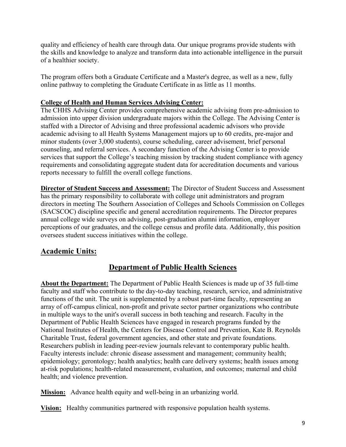quality and efficiency of health care through data. Our unique programs provide students with the skills and knowledge to analyze and transform data into actionable intelligence in the pursuit of a healthier society.

The program offers both a Graduate Certificate and a Master's degree, as well as a new, fully online pathway to completing the Graduate Certificate in as little as 11 months.

## <span id="page-8-0"></span>**College of Health and Human Services Advising Center:**

The CHHS Advising Center provides comprehensive academic advising from pre-admission to admission into upper division undergraduate majors within the College. The Advising Center is staffed with a Director of Advising and three professional academic advisors who provide academic advising to all Health Systems Management majors up to 60 credits, pre-major and minor students (over 3,000 students), course scheduling, career advisement, brief personal counseling, and referral services. A secondary function of the Advising Center is to provide services that support the College's teaching mission by tracking student compliance with agency requirements and consolidating aggregate student data for accreditation documents and various reports necessary to fulfill the overall college functions.

<span id="page-8-1"></span>**Director of Student Success and Assessment:** The Director of Student Success and Assessment has the primary responsibility to collaborate with college unit administrators and program directors in meeting The Southern Association of Colleges and Schools Commission on Colleges (SACSCOC) discipline specific and general accreditation requirements. The Director prepares annual college wide surveys on advising, post-graduation alumni information, employer perceptions of our graduates, and the college census and profile data. Additionally, this position oversees student success initiatives within the college.

## <span id="page-8-2"></span>**Academic Units:**

## **Department of Public Health Sciences**

<span id="page-8-3"></span>**About the Department:** The Department of Public Health Sciences is made up of 35 full-time faculty and staff who contribute to the day-to-day teaching, research, service, and administrative functions of the unit. The unit is supplemented by a robust part-time faculty, representing an array of off-campus clinical, non-profit and private sector partner organizations who contribute in multiple ways to the unit's overall success in both teaching and research. Faculty in the Department of Public Health Sciences have engaged in research programs funded by the National Institutes of Health, the Centers for Disease Control and Prevention, Kate B. Reynolds Charitable Trust, federal government agencies, and other state and private foundations. Researchers publish in leading peer-review journals relevant to contemporary public health. Faculty interests include: chronic disease assessment and management; community health; epidemiology; gerontology; health analytics; health care delivery systems; health issues among at-risk populations; health-related measurement, evaluation, and outcomes; maternal and child health; and violence prevention.

<span id="page-8-4"></span>**Mission:** Advance health equity and well-being in an urbanizing world.

<span id="page-8-5"></span>**Vision:** Healthy communities partnered with responsive population health systems.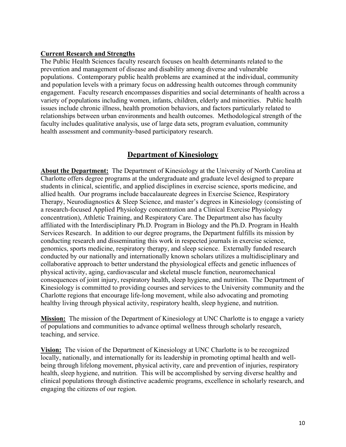#### <span id="page-9-0"></span>**Current Research and Strengths**

The Public Health Sciences faculty research focuses on health determinants related to the prevention and management of disease and disability among diverse and vulnerable populations. Contemporary public health problems are examined at the individual, community and population levels with a primary focus on addressing health outcomes through community engagement. Faculty research encompasses disparities and social determinants of health across a variety of populations including women, infants, children, elderly and minorities. Public health issues include chronic illness, health promotion behaviors, and factors particularly related to relationships between urban environments and health outcomes. Methodological strength of the faculty includes qualitative analysis, use of large data sets, program evaluation, community health assessment and community-based participatory research.

## **Department of Kinesiology**

<span id="page-9-2"></span><span id="page-9-1"></span>**About the Department:** The Department of Kinesiology at the University of North Carolina at Charlotte offers degree programs at the undergraduate and graduate level designed to prepare students in clinical, scientific, and applied disciplines in exercise science, sports medicine, and allied health. Our programs include baccalaureate degrees in Exercise Science, Respiratory Therapy, Neurodiagnostics & Sleep Science, and master's degrees in Kinesiology (consisting of a research-focused Applied Physiology concentration and a Clinical Exercise Physiology concentration), Athletic Training, and Respiratory Care. The Department also has faculty affiliated with the Interdisciplinary Ph.D. Program in Biology and the Ph.D. Program in Health Services Research. In addition to our degree programs, the Department fulfills its mission by conducting research and disseminating this work in respected journals in exercise science, genomics, sports medicine, respiratory therapy, and sleep science. Externally funded research conducted by our nationally and internationally known scholars utilizes a multidisciplinary and collaborative approach to better understand the physiological effects and genetic influences of physical activity, aging, cardiovascular and skeletal muscle function, neuromechanical consequences of joint injury, respiratory health, sleep hygiene, and nutrition. The Department of Kinesiology is committed to providing courses and services to the University community and the Charlotte regions that encourage life-long movement, while also advocating and promoting healthy living through physical activity, respiratory health, sleep hygiene, and nutrition.

<span id="page-9-3"></span>**Mission:** The mission of the Department of Kinesiology at UNC Charlotte is to engage a variety of populations and communities to advance optimal wellness through scholarly research, teaching, and service.

<span id="page-9-4"></span>**Vision:** The vision of the Department of Kinesiology at UNC Charlotte is to be recognized locally, nationally, and internationally for its leadership in promoting optimal health and wellbeing through lifelong movement, physical activity, care and prevention of injuries, respiratory health, sleep hygiene, and nutrition. This will be accomplished by serving diverse healthy and clinical populations through distinctive academic programs, excellence in scholarly research, and engaging the citizens of our region.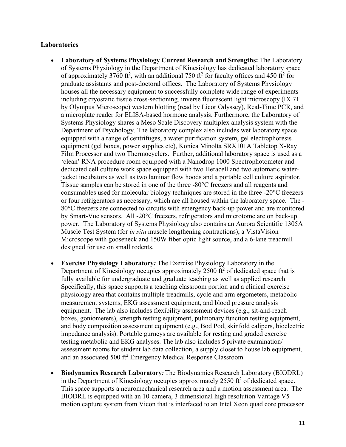## <span id="page-10-0"></span>**Laboratories**

- <span id="page-10-1"></span>• **Laboratory of Systems Physiology Current Research and Strengths:** The Laboratory of Systems Physiology in the Department of Kinesiology has dedicated laboratory space of approximately 3760 ft<sup>2</sup>, with an additional 750 ft<sup>2</sup> for faculty offices and 450 ft<sup>2</sup> for graduate assistants and post-doctoral offices. The Laboratory of Systems Physiology houses all the necessary equipment to successfully complete wide range of experiments including cryostatic tissue cross-sectioning, inverse fluorescent light microscopy (IX 71 by Olympus Microscope) western blotting (read by Licor Odyssey), Real-Time PCR, and a microplate reader for ELISA-based hormone analysis. Furthermore, the Laboratory of Systems Physiology shares a Meso Scale Discovery multiplex analysis system with the Department of Psychology. The laboratory complex also includes wet laboratory space equipped with a range of centrifuges, a water purification system, gel electrophoresis equipment (gel boxes, power supplies etc), Konica Minolta SRX101A Tabletop X-Ray Film Processor and two Thermocyclers. Further, additional laboratory space is used as a 'clean' RNA procedure room equipped with a Nanodrop 1000 Spectrophotometer and dedicated cell culture work space equipped with two Heracell and two automatic waterjacket incubators as well as two laminar flow hoods and a portable cell culture aspirator. Tissue samples can be stored in one of the three -80°C freezers and all reagents and consumables used for molecular biology techniques are stored in the three -20°C freezers or four refrigerators as necessary, which are all housed within the laboratory space. The - 80°C freezers are connected to circuits with emergency back-up power and are monitored by Smart-Vue sensors. All -20°C freezers, refrigerators and microtome are on back-up power. The Laboratory of Systems Physiology also contains an Aurora Scientific 1305A Muscle Test System (for *in situ* muscle lengthening contractions), a VistaVision Microscope with gooseneck and 150W fiber optic light source, and a 6-lane treadmill designed for use on small rodents.
- <span id="page-10-2"></span>• **Exercise Physiology Laboratory***:* The Exercise Physiology Laboratory in the Department of Kinesiology occupies approximately 2500  $\text{ft}^2$  of dedicated space that is fully available for undergraduate and graduate teaching as well as applied research. Specifically, this space supports a teaching classroom portion and a clinical exercise physiology area that contains multiple treadmills, cycle and arm ergometers, metabolic measurement systems, EKG assessment equipment, and blood pressure analysis equipment. The lab also includes flexibility assessment devices (e.g., sit-and-reach boxes, goniometers), strength testing equipment, pulmonary function testing equipment, and body composition assessment equipment (e.g., Bod Pod, skinfold calipers, bioelectric impedance analysis). Portable gurneys are available for resting and graded exercise testing metabolic and EKG analyses. The lab also includes 5 private examination/ assessment rooms for student lab data collection, a supply closet to house lab equipment, and an associated 500 ft<sup>2</sup> Emergency Medical Response Classroom.
- <span id="page-10-3"></span>• **Biodynamics Research Laboratory***:* The Biodynamics Research Laboratory (BIODRL) in the Department of Kinesiology occupies approximately  $2550 \text{ ft}^2$  of dedicated space. This space supports a neuromechanical research area and a motion assessment area. The BIODRL is equipped with an 10-camera, 3 dimensional high resolution Vantage V5 motion capture system from Vicon that is interfaced to an Intel Xeon quad core processor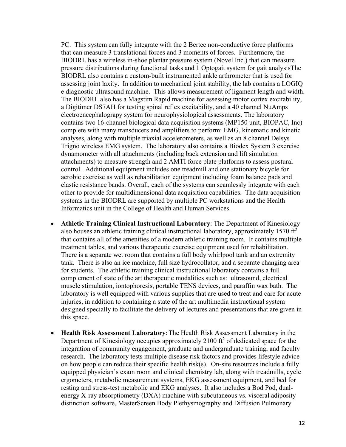PC. This system can fully integrate with the 2 Bertec non-conductive force platforms that can measure 3 translational forces and 3 moments of forces. Furthermore, the BIODRL has a wireless in-shoe plantar pressure system (Novel Inc.) that can measure pressure distributions during functional tasks and 1 Optogait system for gait analysisThe BIODRL also contains a custom-built instrumented ankle arthrometer that is used for assessing joint laxity. In addition to mechanical joint stability, the lab contains a LOGIQ e diagnostic ultrasound machine. This allows measurement of ligament length and width. The BIODRL also has a Magstim Rapid machine for assessing motor cortex excitability, a Digitimer DS7AH for testing spinal reflex excitability, and a 40 channel NuAmps electroencephalograpy system for neurophysiological assessments. The laboratory contains two 16-channel biological data acquisition systems (MP150 unit, BIOPAC, Inc) complete with many transducers and amplifiers to perform: EMG, kinematic and kinetic analyses, along with multiple triaxial accelerometers, as well as an 8 channel Delsys Trigno wireless EMG system. The laboratory also contains a Biodex System 3 exercise dynamometer with all attachments (including back extension and lift simulation attachments) to measure strength and 2 AMTI force plate platforms to assess postural control. Additional equipment includes one treadmill and one stationary bicycle for aerobic exercise as well as rehabilitation equipment including foam balance pads and elastic resistance bands. Overall, each of the systems can seamlessly integrate with each other to provide for multidimensional data acquisition capabilities. The data acquisition systems in the BIODRL are supported by multiple PC workstations and the Health Informatics unit in the College of Health and Human Services.

- <span id="page-11-0"></span>• **Athletic Training Clinical Instructional Laboratory**: The Department of Kinesiology also houses an athletic training clinical instructional laboratory, approximately 1570  $\text{ft}^2$ that contains all of the amenities of a modern athletic training room. It contains multiple treatment tables, and various therapeutic exercise equipment used for rehabilitation. There is a separate wet room that contains a full body whirlpool tank and an extremity tank. There is also an ice machine, full size hydrocollator, and a separate changing area for students. The athletic training clinical instructional laboratory contains a full complement of state of the art therapeutic modalities such as: ultrasound, electrical muscle stimulation, iontophoresis, portable TENS devices, and paraffin wax bath. The laboratory is well equipped with various supplies that are used to treat and care for acute injuries, in addition to containing a state of the art multimedia instructional system designed specially to facilitate the delivery of lectures and presentations that are given in this space.
- <span id="page-11-1"></span>• **Health Risk Assessment Laboratory**: The Health Risk Assessment Laboratory in the Department of Kinesiology occupies approximately 2100  $\text{ft}^2$  of dedicated space for the integration of community engagement, graduate and undergraduate training, and faculty research. The laboratory tests multiple disease risk factors and provides lifestyle advice on how people can reduce their specific health risk(s). On-site resources include a fully equipped physician's exam room and clinical chemistry lab, along with treadmills, cycle ergometers, metabolic measurement systems, EKG assessment equipment, and bed for resting and stress-test metabolic and EKG analyses. It also includes a Bod Pod, dualenergy X-ray absorptiometry (DXA) machine with subcutaneous vs. visceral adiposity distinction software, MasterScreen Body Plethysmography and Diffusion Pulmonary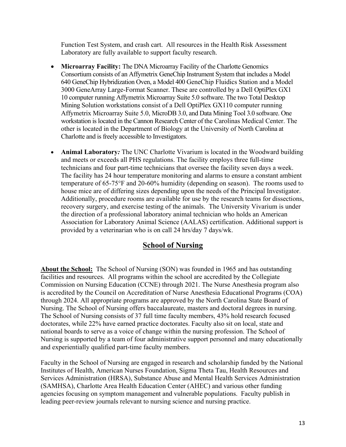Function Test System, and crash cart. All resources in the Health Risk Assessment Laboratory are fully available to support faculty research.

- <span id="page-12-0"></span>• **Microarray Facility:** The DNA Microarray Facility of the Charlotte Genomics Consortium consists of an Affymetrix GeneChip Instrument System that includes a Model 640 GeneChip Hybridization Oven, a Model 400 GeneChip Fluidics Station and a Model 3000 GeneArray Large-Format Scanner. These are controlled by a Dell OptiPlex GX1 10 computer running Affymetrix Microarray Suite 5.0 software. The two Total Desktop Mining Solution workstations consist of a Dell OptiPlex GX110 computer running Affymetrix Microarray Suite 5.0, MicroDB 3.0, and Data Mining Tool 3.0 software. One workstation is located in the Cannon Research Center of the Carolinas Medical Center. The other is located in the Department of Biology at the University of North Carolina at Charlotte and is freely accessible to Investigators.
- <span id="page-12-1"></span>• **Animal Laboratory:** The UNC Charlotte Vivarium is located in the Woodward building and meets or exceeds all PHS regulations. The facility employs three full-time technicians and four part-time technicians that oversee the facility seven days a week. The facility has 24 hour temperature monitoring and alarms to ensure a constant ambient temperature of 65-75°F and 20-60% humidity (depending on season). The rooms used to house mice are of differing sizes depending upon the needs of the Principal Investigator. Additionally, procedure rooms are available for use by the research teams for dissections, recovery surgery, and exercise testing of the animals. The University Vivarium is under the direction of a professional laboratory animal technician who holds an American Association for Laboratory Animal Science (AALAS) certification. Additional support is provided by a veterinarian who is on call 24 hrs/day 7 days/wk.

## **School of Nursing**

<span id="page-12-3"></span><span id="page-12-2"></span>**About the School:** The School of Nursing (SON) was founded in 1965 and has outstanding facilities and resources. All programs within the school are accredited by the Collegiate Commission on Nursing Education (CCNE) through 2021. The Nurse Anesthesia program also is accredited by the Council on Accreditation of Nurse Anesthesia Educational Programs (COA) through 2024. All appropriate programs are approved by the North Carolina State Board of Nursing. The School of Nursing offers baccalaureate, masters and doctoral degrees in nursing. The School of Nursing consists of 37 full time faculty members, 43% hold research focused doctorates, while 22% have earned practice doctorates. Faculty also sit on local, state and national boards to serve as a voice of change within the nursing profession. The School of Nursing is supported by a team of four administrative support personnel and many educationally and experientially qualified part-time faculty members.

Faculty in the School of Nursing are engaged in research and scholarship funded by the National Institutes of Health, American Nurses Foundation, Sigma Theta Tau, Health Resources and Services Administration (HRSA), Substance Abuse and Mental Health Services Administration (SAMHSA), Charlotte Area Health Education Center (AHEC) and various other funding agencies focusing on symptom management and vulnerable populations. Faculty publish in leading peer-review journals relevant to nursing science and nursing practice.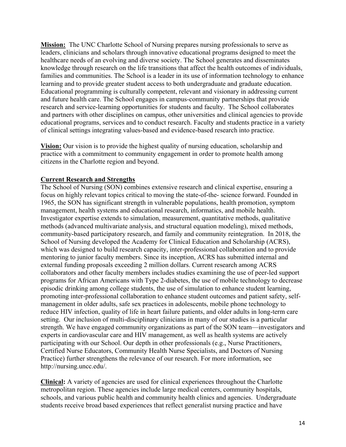<span id="page-13-0"></span>**Mission:** The UNC Charlotte School of Nursing prepares nursing professionals to serve as leaders, clinicians and scholars through innovative educational programs designed to meet the healthcare needs of an evolving and diverse society. The School generates and disseminates knowledge through research on the life transitions that affect the health outcomes of individuals, families and communities. The School is a leader in its use of information technology to enhance learning and to provide greater student access to both undergraduate and graduate education. Educational programming is culturally competent, relevant and visionary in addressing current and future health care. The School engages in campus-community partnerships that provide research and service-learning opportunities for students and faculty. The School collaborates and partners with other disciplines on campus, other universities and clinical agencies to provide educational programs, services and to conduct research. Faculty and students practice in a variety of clinical settings integrating values-based and evidence-based research into practice.

<span id="page-13-1"></span>**Vision:** Our vision is to provide the highest quality of nursing education, scholarship and practice with a commitment to community engagement in order to promote health among citizens in the Charlotte region and beyond.

#### <span id="page-13-2"></span>**Current Research and Strengths**

The School of Nursing (SON) combines extensive research and clinical expertise, ensuring a focus on highly relevant topics critical to moving the state-of-the- science forward. Founded in 1965, the SON has significant strength in vulnerable populations, health promotion, symptom management, health systems and educational research, informatics, and mobile health. Investigator expertise extends to simulation, measurement, quantitative methods, qualitative methods (advanced multivariate analysis, and structural equation modeling), mixed methods, community-based participatory research, and family and community reintegration. In 2018, the School of Nursing developed the Academy for Clinical Education and Scholarship (ACRS), which was designed to build research capacity, inter-professional collaboration and to provide mentoring to junior faculty members. Since its inception, ACRS has submitted internal and external funding proposals exceeding 2 million dollars. Current research among ACRS collaborators and other faculty members includes studies examining the use of peer-led support programs for African Americans with Type 2-diabetes, the use of mobile technology to decrease episodic drinking among college students, the use of simulation to enhance student learning, promoting inter-professional collaboration to enhance student outcomes and patient safety, selfmanagement in older adults, safe sex practices in adolescents, mobile phone technology to reduce HIV infection, quality of life in heart failure patients, and older adults in long-term care setting. Our inclusion of multi-disciplinary clinicians in many of our studies is a particular strength. We have engaged community organizations as part of the SON team—investigators and experts in cardiovascular care and HIV management, as well as health systems are actively participating with our School. Our depth in other professionals (e.g., Nurse Practitioners, Certified Nurse Educators, Community Health Nurse Specialists, and Doctors of Nursing Practice) further strengthens the relevance of our research. For more information, see http://nursing.uncc.edu/.

<span id="page-13-3"></span>**Clinical:** A variety of agencies are used for clinical experiences throughout the Charlotte metropolitan region. These agencies include large medical centers, community hospitals, schools, and various public health and community health clinics and agencies. Undergraduate students receive broad based experiences that reflect generalist nursing practice and have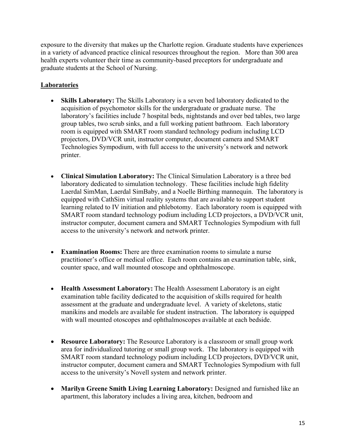exposure to the diversity that makes up the Charlotte region. Graduate students have experiences in a variety of advanced practice clinical resources throughout the region. More than 300 area health experts volunteer their time as community-based preceptors for undergraduate and graduate students at the School of Nursing.

## <span id="page-14-0"></span>**Laboratories**

- <span id="page-14-1"></span>**Skills Laboratory:** The Skills Laboratory is a seven bed laboratory dedicated to the acquisition of psychomotor skills for the undergraduate or graduate nurse. The laboratory's facilities include 7 hospital beds, nightstands and over bed tables, two large group tables, two scrub sinks, and a full working patient bathroom. Each laboratory room is equipped with SMART room standard technology podium including LCD projectors, DVD/VCR unit, instructor computer, document camera and SMART Technologies Sympodium, with full access to the university's network and network printer.
- <span id="page-14-2"></span>• **Clinical Simulation Laboratory:** The Clinical Simulation Laboratory is a three bed laboratory dedicated to simulation technology. These facilities include high fidelity Laerdal SimMan, Laerdal SimBaby, and a Noelle Birthing mannequin. The laboratory is equipped with CathSim virtual reality systems that are available to support student learning related to IV initiation and phlebotomy. Each laboratory room is equipped with SMART room standard technology podium including LCD projectors, a DVD/VCR unit, instructor computer, document camera and SMART Technologies Sympodium with full access to the university's network and network printer.
- <span id="page-14-3"></span>• **Examination Rooms:** There are three examination rooms to simulate a nurse practitioner's office or medical office. Each room contains an examination table, sink, counter space, and wall mounted otoscope and ophthalmoscope.
- <span id="page-14-4"></span>• **Health Assessment Laboratory:** The Health Assessment Laboratory is an eight examination table facility dedicated to the acquisition of skills required for health assessment at the graduate and undergraduate level. A variety of skeletons, static manikins and models are available for student instruction. The laboratory is equipped with wall mounted otoscopes and ophthalmoscopes available at each bedside.
- <span id="page-14-5"></span>• **Resource Laboratory:** The Resource Laboratory is a classroom or small group work area for individualized tutoring or small group work. The laboratory is equipped with SMART room standard technology podium including LCD projectors, DVD/VCR unit, instructor computer, document camera and SMART Technologies Sympodium with full access to the university's Novell system and network printer.
- <span id="page-14-6"></span>• **Marilyn Greene Smith Living Learning Laboratory:** Designed and furnished like an apartment, this laboratory includes a living area, kitchen, bedroom and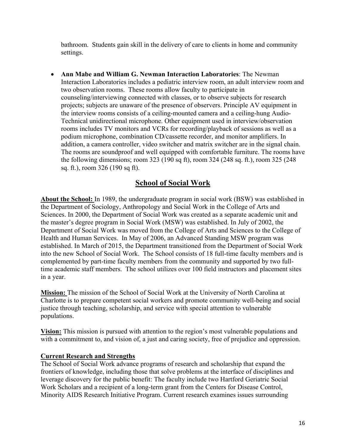bathroom. Students gain skill in the delivery of care to clients in home and community settings.

<span id="page-15-0"></span>• **Ann Mabe and William G. Newman Interaction Laboratories**: The Newman Interaction Laboratories includes a pediatric interview room, an adult interview room and two observation rooms. These rooms allow faculty to participate in counseling/interviewing connected with classes, or to observe subjects for research projects; subjects are unaware of the presence of observers. Principle AV equipment in the interview rooms consists of a ceiling-mounted camera and a ceiling-hung Audio-Technical unidirectional microphone. Other equipment used in interview/observation rooms includes TV monitors and VCRs for recording/playback of sessions as well as a podium microphone, combination CD/cassette recorder, and monitor amplifiers. In addition, a camera controller, video switcher and matrix switcher are in the signal chain. The rooms are soundproof and well equipped with comfortable furniture. The rooms have the following dimensions; room 323 (190 sq ft), room 324 (248 sq. ft.), room 325 (248 sq. ft.), room 326 (190 sq ft).

## **School of Social Work**

<span id="page-15-2"></span><span id="page-15-1"></span>**About the School:** In 1989, the undergraduate program in social work (BSW) was established in the Department of Sociology, Anthropology and Social Work in the College of Arts and Sciences. In 2000, the Department of Social Work was created as a separate academic unit and the master's degree program in Social Work (MSW) was established. In July of 2002, the Department of Social Work was moved from the College of Arts and Sciences to the College of Health and Human Services. In May of 2006, an Advanced Standing MSW program was established. In March of 2015, the Department transitioned from the Department of Social Work into the new School of Social Work. The School consists of 18 full-time faculty members and is complemented by part-time faculty members from the community and supported by two fulltime academic staff members. The school utilizes over 100 field instructors and placement sites in a year.

<span id="page-15-3"></span>**Mission:** The mission of the School of Social Work at the University of North Carolina at Charlotte is to prepare competent social workers and promote community well-being and social justice through teaching, scholarship, and service with special attention to vulnerable populations.

<span id="page-15-4"></span>**Vision:** This mission is pursued with attention to the region's most vulnerable populations and with a commitment to, and vision of, a just and caring society, free of prejudice and oppression.

## <span id="page-15-5"></span>**Current Research and Strengths**

The School of Social Work advance programs of research and scholarship that expand the frontiers of knowledge, including those that solve problems at the interface of disciplines and leverage discovery for the public benefit: The faculty include two Hartford Geriatric Social Work Scholars and a recipient of a long-term grant from the Centers for Disease Control, Minority AIDS Research Initiative Program. Current research examines issues surrounding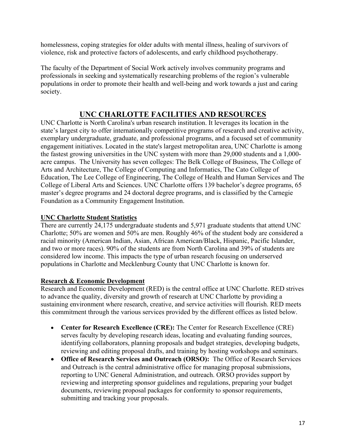homelessness, coping strategies for older adults with mental illness, healing of survivors of violence, risk and protective factors of adolescents, and early childhood psychotherapy.

The faculty of the Department of Social Work actively involves community programs and professionals in seeking and systematically researching problems of the region's vulnerable populations in order to promote their health and well-being and work towards a just and caring society.

## **UNC CHARLOTTE FACILITIES AND RESOURCES**

<span id="page-16-0"></span>UNC Charlotte is North Carolina's urban research institution. It leverages its location in the state's largest city to offer internationally competitive programs of research and creative activity, exemplary undergraduate, graduate, and professional programs, and a focused set of community engagement initiatives. Located in the state's largest metropolitan area, UNC Charlotte is among the fastest growing universities in the UNC system with more than 29,000 students and a 1,000 acre campus. The University has seven colleges: The Belk College of Business, The College of Arts and Architecture, The College of Computing and Informatics, The Cato College of Education, The Lee College of Engineering, The College of Health and Human Services and The College of Liberal Arts and Sciences. UNC Charlotte offers 139 bachelor's degree programs, 65 master's degree programs and 24 doctoral degree programs, and is classified by the Carnegie Foundation as a Community Engagement Institution.

## <span id="page-16-1"></span>**UNC Charlotte Student Statistics**

There are currently 24,175 undergraduate students and 5,971 graduate students that attend UNC Charlotte; 50% are women and 50% are men. Roughly 46% of the student body are considered a racial minority (American Indian, Asian, African American/Black, Hispanic, Pacific Islander, and two or more races). 90% of the students are from North Carolina and 39% of students are considered low income. This impacts the type of urban research focusing on underserved populations in Charlotte and Mecklenburg County that UNC Charlotte is known for.

## <span id="page-16-2"></span>**Research & Economic Development**

Research and Economic Development (RED) is the central office at UNC Charlotte. RED strives to advance the quality, diversity and growth of research at UNC Charlotte by providing a sustaining environment where research, creative, and service activities will flourish. RED meets this commitment through the various services provided by the different offices as listed below.

- **Center for Research Excellence (CRE):** The Center for Research Excellence (CRE) serves faculty by developing research ideas, locating and evaluating funding sources, identifying collaborators, planning proposals and budget strategies, developing budgets, reviewing and editing proposal drafts, and training by hosting workshops and seminars.
- **Office of Research Services and Outreach (ORSO):** The Office of Research Services and Outreach is the central administrative office for managing proposal submissions, reporting to UNC General Administration, and outreach. ORSO provides support by reviewing and interpreting sponsor guidelines and regulations, preparing your budget documents, reviewing proposal packages for conformity to sponsor requirements, submitting and tracking your proposals.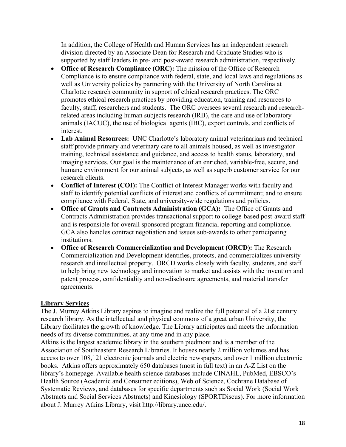In addition, the College of Health and Human Services has an independent research division directed by an Associate Dean for Research and Graduate Studies who is supported by staff leaders in pre- and post-award research administration, respectively.

- **Office of Research Compliance (ORC):** The mission of the Office of Research Compliance is to ensure compliance with federal, state, and local laws and regulations as well as University policies by partnering with the University of North Carolina at Charlotte research community in support of ethical research practices. The ORC promotes ethical research practices by providing education, training and resources to faculty, staff, researchers and students. The ORC oversees several research and researchrelated areas including human subjects research (IRB), the care and use of laboratory animals (IACUC), the use of biological agents (IBC), export controls, and conflicts of interest.
- **Lab Animal Resources:** UNC Charlotte's laboratory animal veterinarians and technical staff provide primary and veterinary care to all animals housed, as well as investigator training, technical assistance and guidance, and access to health status, laboratory, and imaging services. Our goal is the maintenance of an enriched, variable-free, secure, and humane environment for our animal subjects, as well as superb customer service for our research clients.
- **Conflict of Interest (COI):** The Conflict of Interest Manager works with faculty and staff to identify potential conflicts of interest and conflicts of commitment; and to ensure compliance with Federal, State, and university-wide regulations and policies.
- **Office of Grants and Contracts Administration (GCA):** The Office of Grants and Contracts Administration provides transactional support to college-based post-award staff and is responsible for overall sponsored program financial reporting and compliance. GCA also handles contract negotiation and issues sub-awards to other participating institutions.
- **Office of Research Commercialization and Development (ORCD):** The Research Commercialization and Development identifies, protects, and commercializes university research and intellectual property. ORCD works closely with faculty, students, and staff to help bring new technology and innovation to market and assists with the invention and patent process, confidentiality and non-disclosure agreements, and material transfer agreements.

## <span id="page-17-0"></span>**Library Services**

The J. Murrey Atkins Library aspires to imagine and realize the full potential of a 21st century research library. As the intellectual and physical commons of a great urban University, the Library facilitates the growth of knowledge. The Library anticipates and meets the information needs of its diverse communities, at any time and in any place.

Atkins is the largest academic library in the southern piedmont and is a member of the Association of Southeastern Research Libraries. It houses nearly 2 million volumes and has access to over 108,121 electronic journals and electric newspapers, and over 1 million electronic books. Atkins offers approximately 650 databases (most in full text) in an A-Z List on the library's homepage. Available health science databases include CINAHL, PubMed, EBSCO's Health Source (Academic and Consumer editions), Web of Science, Cochrane Database of Systematic Reviews, and databases for specific departments such as Social Work (Social Work Abstracts and Social Services Abstracts) and Kinesiology (SPORTDiscus). For more information about J. Murrey Atkins Library, visit [http://library.uncc.edu/.](http://library.uncc.edu/)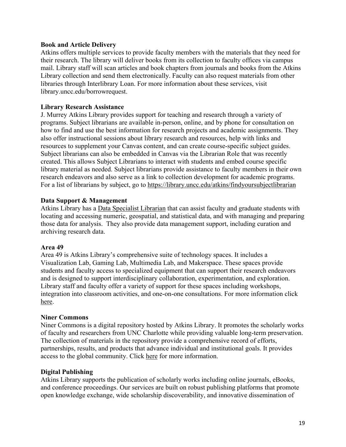#### **Book and Article Delivery**

Atkins offers multiple services to provide faculty members with the materials that they need for their research. The library will deliver books from its collection to faculty offices via campus mail. Library staff will scan articles and book chapters from journals and books from the Atkins Library collection and send them electronically. Faculty can also request materials from other libraries through Interlibrary Loan. For more information about these services, visit library.uncc.edu/borrowrequest.

#### **Library Research Assistance**

J. Murrey Atkins Library provides support for teaching and research through a variety of programs. Subject librarians are available in-person, online, and by phone for consultation on how to find and use the best information for research projects and academic assignments. They also offer instructional sessions about library research and resources, help with links and resources to supplement your Canvas content, and can create course-specific subject guides. Subject librarians can also be embedded in Canvas via the Librarian Role that was recently created. This allows Subject Librarians to interact with students and embed course specific library material as needed. Subject librarians provide assistance to faculty members in their own research endeavors and also serve as a link to collection development for academic programs. For a list of librarians by subject, go to<https://library.uncc.edu/atkins/findyoursubjectlibrarian>

#### **Data Support & Management**

Atkins Library has a Data [Specialist](https://guides.library.uncc.edu/prf.php?account_id=7586) Librarian that can assist faculty and graduate students with locating and accessing numeric, geospatial, and statistical data, and with managing and preparing those data for analysis. They also provide data management support, including curation and archiving research data.

#### **Area 49**

Area 49 is Atkins Library's comprehensive suite of technology spaces. It includes a Visualization Lab, Gaming Lab, Multimedia Lab, and Makerspace. These spaces provide students and faculty access to specialized equipment that can support their research endeavors and is designed to support interdisciplinary collaboration, experimentation, and exploration. Library staff and faculty offer a variety of support for these spaces including workshops, integration into classroom activities, and one-on-one consultations. For more information click [here.](https://library.uncc.edu/atkins/technologyequipment)

#### **Niner Commons**

Niner Commons is a digital repository hosted by Atkins Library. It promotes the scholarly works of faculty and researchers from UNC Charlotte while providing valuable long-term preservation. The collection of materials in the repository provide a comprehensive record of efforts, partnerships, results, and products that advance individual and institutional goals. It provides access to the global community. Click [here](https://ninercommons.uncc.edu/) for more information.

#### **Digital Publishing**

Atkins Library supports the publication of scholarly works including online journals, eBooks, and conference proceedings. Our services are built on robust publishing platforms that promote open knowledge exchange, wide scholarship discoverability, and innovative dissemination of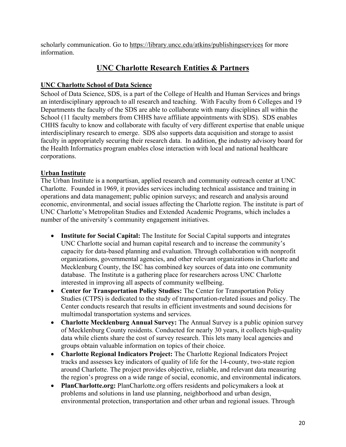<span id="page-19-0"></span>scholarly communication. Go to<https://library.uncc.edu/atkins/publishingservices> for more information.

## **UNC Charlotte Research Entities & Partners**

## <span id="page-19-1"></span>**UNC Charlotte School of Data Science**

<span id="page-19-2"></span>School of Data Science, SDS, is a part of the College of Health and Human Services and brings an interdisciplinary approach to all research and teaching. With Faculty from 6 Colleges and 19 Departments the faculty of the SDS are able to collaborate with many disciplines all within the School (11 faculty members from CHHS have affiliate appointments with SDS). SDS enables CHHS faculty to know and collaborate with faculty of very different expertise that enable unique interdisciplinary research to emerge. SDS also supports data acquisition and storage to assist faculty in appropriately securing their research data. In addition, **t**he industry advisory board for the Health Informatics program enables close interaction with local and national healthcare corporations.

## **Urban Institute**

The Urban Institute is a nonpartisan, applied research and community outreach center at UNC Charlotte. Founded in 1969, it provides services including technical assistance and training in operations and data management; public opinion surveys; and research and analysis around economic, environmental, and social issues affecting the Charlotte region. The institute is part of UNC Charlotte's Metropolitan Studies and Extended Academic Programs, which includes a number of the university's community engagement initiatives.

- <span id="page-19-3"></span>• **Institute for Social Capital:** The Institute for Social Capital supports and integrates UNC Charlotte social and human capital research and to increase the community's capacity for data-based planning and evaluation. Through collaboration with nonprofit organizations, governmental agencies, and other relevant organizations in Charlotte and Mecklenburg County, the ISC has combined key sources of data into one community database. The Institute is a gathering place for researchers across UNC Charlotte interested in improving all aspects of community wellbeing.
- <span id="page-19-4"></span>• **Center for Transportation Policy Studies:** The Center for Transportation Policy Studies (CTPS) is dedicated to the study of transportation-related issues and policy. The Center conducts research that results in efficient investments and sound decisions for multimodal transportation systems and services.
- <span id="page-19-5"></span>• **Charlotte Mecklenburg Annual Survey:** The Annual Survey is a public opinion survey of Mecklenburg County residents. Conducted for nearly 30 years, it collects high-quality data while clients share the cost of survey research. This lets many local agencies and groups obtain valuable information on topics of their choice.
- <span id="page-19-6"></span>• **Charlotte Regional Indicators Project:** The Charlotte Regional Indicators Project tracks and assesses key indicators of quality of life for the 14-county, two-state region around Charlotte. The project provides objective, reliable, and relevant data measuring the region's progress on a wide range of social, economic, and environmental indicators.
- <span id="page-19-7"></span>• **PlanCharlotte.org:** PlanCharlotte.org offers residents and policymakers a look at problems and solutions in land use planning, neighborhood and urban design, environmental protection, transportation and other urban and regional issues. Through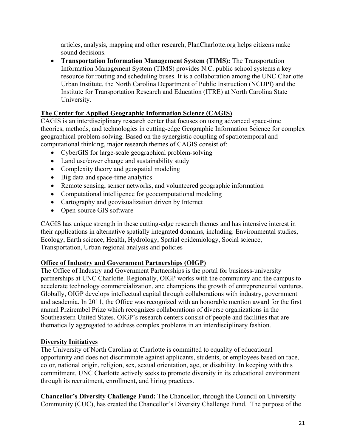articles, analysis, mapping and other research, PlanCharlotte.org helps citizens make sound decisions.

<span id="page-20-0"></span>• **Transportation Information Management System (TIMS):** The Transportation Information Management System (TIMS) provides N.C. public school systems a key resource for routing and scheduling buses. It is a collaboration among the UNC Charlotte Urban Institute, the North Carolina Department of Public Instruction (NCDPI) and the Institute for Transportation Research and Education (ITRE) at North Carolina State University.

## <span id="page-20-1"></span>**The Center for Applied Geographic Information Science (CAGIS)**

CAGIS is an interdisciplinary research center that focuses on using advanced space-time theories, methods, and technologies in cutting-edge Geographic Information Science for complex geographical problem-solving. Based on the synergistic coupling of spatiotemporal and computational thinking, major research themes of CAGIS consist of:

- CyberGIS for large-scale geographical problem-solving
- Land use/cover change and sustainability study
- Complexity theory and geospatial modeling
- Big data and space-time analytics
- Remote sensing, sensor networks, and volunteered geographic information
- Computational intelligence for geocomputational modeling
- Cartography and geovisualization driven by Internet
- Open-source GIS software

CAGIS has unique strength in these cutting-edge research themes and has intensive interest in their applications in alternative spatially integrated domains, including: Environmental studies, Ecology, Earth science, Health, Hydrology, Spatial epidemiology, Social science, Transportation, Urban regional analysis and policies

## **Office of Industry and Government Partnerships (OIGP)**

The Office of Industry and Government Partnerships is the portal for business-university partnerships at UNC Charlotte. Regionally, OIGP works with the community and the campus to accelerate technology commercialization, and champions the growth of entrepreneurial ventures. Globally, OIGP develops intellectual capital through collaborations with industry, government and academia. In 2011, the Office was recognized with an honorable mention award for the first annual Przirembel Prize which recognizes collaborations of diverse organizations in the Southeastern United States. OIGP's research centers consist of people and facilities that are thematically aggregated to address complex problems in an interdisciplinary fashion.

## <span id="page-20-2"></span>**Diversity Initiatives**

The University of North Carolina at Charlotte is committed to equality of educational opportunity and does not discriminate against applicants, students, or employees based on race, color, national origin, religion, sex, sexual orientation, age, or disability. In keeping with this commitment, UNC Charlotte actively seeks to promote diversity in its educational environment through its recruitment, enrollment, and hiring practices.

<span id="page-20-3"></span>**Chancellor's Diversity Challenge Fund:** The Chancellor, through the Council on University Community (CUC), has created the Chancellor's Diversity Challenge Fund. The purpose of the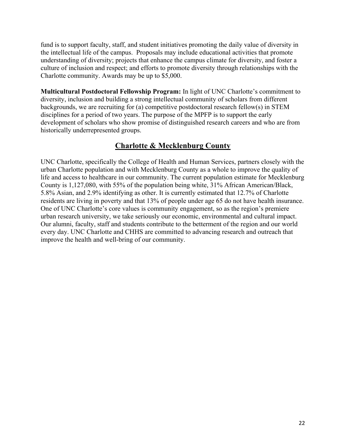fund is to support faculty, staff, and student initiatives promoting the daily value of diversity in the intellectual life of the campus. Proposals may include educational activities that promote understanding of diversity; projects that enhance the campus climate for diversity, and foster a culture of inclusion and respect; and efforts to promote diversity through relationships with the Charlotte community. Awards may be up to \$5,000.

<span id="page-21-0"></span>**Multicultural Postdoctoral Fellowship Program:** In light of UNC Charlotte's commitment to diversity, inclusion and building a strong intellectual community of scholars from different backgrounds, we are recruiting for (a) competitive postdoctoral research fellow(s) in STEM disciplines for a period of two years. The purpose of the MPFP is to support the early development of scholars who show promise of distinguished research careers and who are from historically underrepresented groups.

## **Charlotte & Mecklenburg County**

<span id="page-21-1"></span>UNC Charlotte, specifically the College of Health and Human Services, partners closely with the urban Charlotte population and with Mecklenburg County as a whole to improve the quality of life and access to healthcare in our community. The current population estimate for Mecklenburg County is 1,127,080, with 55% of the population being white, 31% African American/Black, 5.8% Asian, and 2.9% identifying as other. It is currently estimated that 12.7% of Charlotte residents are living in poverty and that 13% of people under age 65 do not have health insurance. One of UNC Charlotte's core values is community engagement, so as the region's premiere urban research university, we take seriously our economic, environmental and cultural impact. Our alumni, faculty, staff and students contribute to the betterment of the region and our world every day. UNC Charlotte and CHHS are committed to advancing research and outreach that improve the health and well-bring of our community.